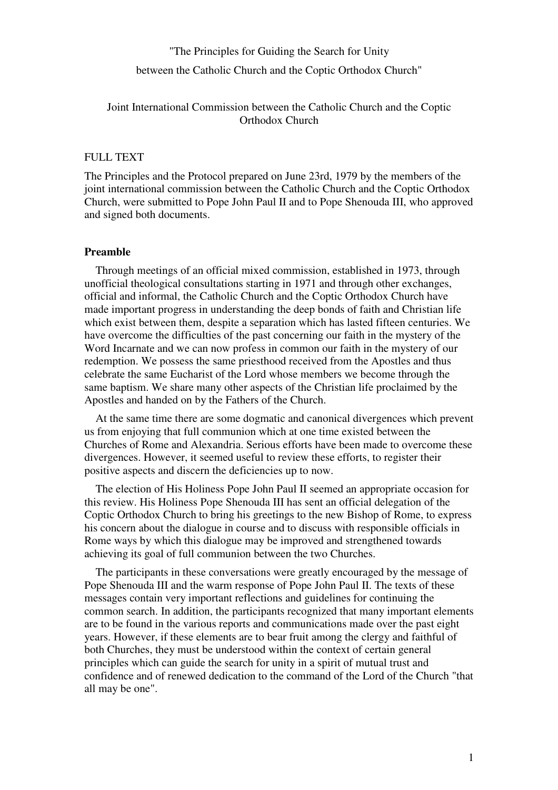## "The Principles for Guiding the Search for Unity between the Catholic Church and the Coptic Orthodox Church"

Joint International Commission between the Catholic Church and the Coptic Orthodox Church

## FULL TEXT

The Principles and the Protocol prepared on June 23rd, 1979 by the members of the joint international commission between the Catholic Church and the Coptic Orthodox Church, were submitted to Pope John Paul II and to Pope Shenouda III, who approved and signed both documents.

## **Preamble**

 Through meetings of an official mixed commission, established in 1973, through unofficial theological consultations starting in 1971 and through other exchanges, official and informal, the Catholic Church and the Coptic Orthodox Church have made important progress in understanding the deep bonds of faith and Christian life which exist between them, despite a separation which has lasted fifteen centuries. We have overcome the difficulties of the past concerning our faith in the mystery of the Word Incarnate and we can now profess in common our faith in the mystery of our redemption. We possess the same priesthood received from the Apostles and thus celebrate the same Eucharist of the Lord whose members we become through the same baptism. We share many other aspects of the Christian life proclaimed by the Apostles and handed on by the Fathers of the Church.

 At the same time there are some dogmatic and canonical divergences which prevent us from enjoying that full communion which at one time existed between the Churches of Rome and Alexandria. Serious efforts have been made to overcome these divergences. However, it seemed useful to review these efforts, to register their positive aspects and discern the deficiencies up to now.

 The election of His Holiness Pope John Paul II seemed an appropriate occasion for this review. His Holiness Pope Shenouda III has sent an official delegation of the Coptic Orthodox Church to bring his greetings to the new Bishop of Rome, to express his concern about the dialogue in course and to discuss with responsible officials in Rome ways by which this dialogue may be improved and strengthened towards achieving its goal of full communion between the two Churches.

 The participants in these conversations were greatly encouraged by the message of Pope Shenouda III and the warm response of Pope John Paul II. The texts of these messages contain very important reflections and guidelines for continuing the common search. In addition, the participants recognized that many important elements are to be found in the various reports and communications made over the past eight years. However, if these elements are to bear fruit among the clergy and faithful of both Churches, they must be understood within the context of certain general principles which can guide the search for unity in a spirit of mutual trust and confidence and of renewed dedication to the command of the Lord of the Church "that all may be one".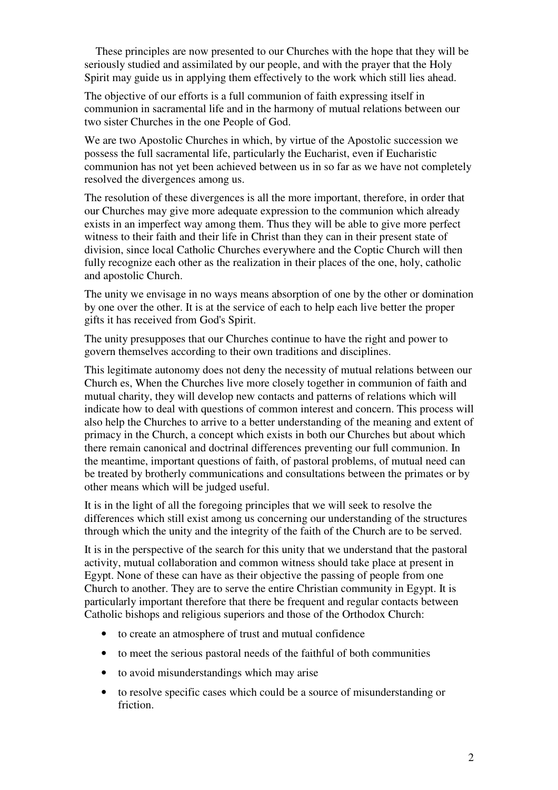These principles are now presented to our Churches with the hope that they will be seriously studied and assimilated by our people, and with the prayer that the Holy Spirit may guide us in applying them effectively to the work which still lies ahead.

The objective of our efforts is a full communion of faith expressing itself in communion in sacramental life and in the harmony of mutual relations between our two sister Churches in the one People of God.

We are two Apostolic Churches in which, by virtue of the Apostolic succession we possess the full sacramental life, particularly the Eucharist, even if Eucharistic communion has not yet been achieved between us in so far as we have not completely resolved the divergences among us.

The resolution of these divergences is all the more important, therefore, in order that our Churches may give more adequate expression to the communion which already exists in an imperfect way among them. Thus they will be able to give more perfect witness to their faith and their life in Christ than they can in their present state of division, since local Catholic Churches everywhere and the Coptic Church will then fully recognize each other as the realization in their places of the one, holy, catholic and apostolic Church.

The unity we envisage in no ways means absorption of one by the other or domination by one over the other. It is at the service of each to help each live better the proper gifts it has received from God's Spirit.

The unity presupposes that our Churches continue to have the right and power to govern themselves according to their own traditions and disciplines.

This legitimate autonomy does not deny the necessity of mutual relations between our Church es, When the Churches live more closely together in communion of faith and mutual charity, they will develop new contacts and patterns of relations which will indicate how to deal with questions of common interest and concern. This process will also help the Churches to arrive to a better understanding of the meaning and extent of primacy in the Church, a concept which exists in both our Churches but about which there remain canonical and doctrinal differences preventing our full communion. In the meantime, important questions of faith, of pastoral problems, of mutual need can be treated by brotherly communications and consultations between the primates or by other means which will be judged useful.

It is in the light of all the foregoing principles that we will seek to resolve the differences which still exist among us concerning our understanding of the structures through which the unity and the integrity of the faith of the Church are to be served.

It is in the perspective of the search for this unity that we understand that the pastoral activity, mutual collaboration and common witness should take place at present in Egypt. None of these can have as their objective the passing of people from one Church to another. They are to serve the entire Christian community in Egypt. It is particularly important therefore that there be frequent and regular contacts between Catholic bishops and religious superiors and those of the Orthodox Church:

- to create an atmosphere of trust and mutual confidence
- to meet the serious pastoral needs of the faithful of both communities
- to avoid misunderstandings which may arise
- to resolve specific cases which could be a source of misunderstanding or friction.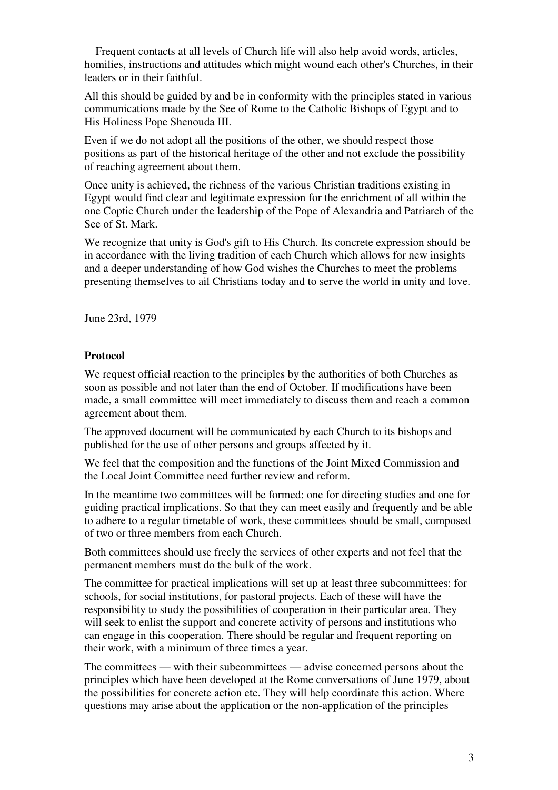Frequent contacts at all levels of Church life will also help avoid words, articles, homilies, instructions and attitudes which might wound each other's Churches, in their leaders or in their faithful.

All this should be guided by and be in conformity with the principles stated in various communications made by the See of Rome to the Catholic Bishops of Egypt and to His Holiness Pope Shenouda III.

Even if we do not adopt all the positions of the other, we should respect those positions as part of the historical heritage of the other and not exclude the possibility of reaching agreement about them.

Once unity is achieved, the richness of the various Christian traditions existing in Egypt would find clear and legitimate expression for the enrichment of all within the one Coptic Church under the leadership of the Pope of Alexandria and Patriarch of the See of St. Mark.

We recognize that unity is God's gift to His Church. Its concrete expression should be in accordance with the living tradition of each Church which allows for new insights and a deeper understanding of how God wishes the Churches to meet the problems presenting themselves to ail Christians today and to serve the world in unity and love.

June 23rd, 1979

## **Protocol**

We request official reaction to the principles by the authorities of both Churches as soon as possible and not later than the end of October. If modifications have been made, a small committee will meet immediately to discuss them and reach a common agreement about them.

The approved document will be communicated by each Church to its bishops and published for the use of other persons and groups affected by it.

We feel that the composition and the functions of the Joint Mixed Commission and the Local Joint Committee need further review and reform.

In the meantime two committees will be formed: one for directing studies and one for guiding practical implications. So that they can meet easily and frequently and be able to adhere to a regular timetable of work, these committees should be small, composed of two or three members from each Church.

Both committees should use freely the services of other experts and not feel that the permanent members must do the bulk of the work.

The committee for practical implications will set up at least three subcommittees: for schools, for social institutions, for pastoral projects. Each of these will have the responsibility to study the possibilities of cooperation in their particular area. They will seek to enlist the support and concrete activity of persons and institutions who can engage in this cooperation. There should be regular and frequent reporting on their work, with a minimum of three times a year.

The committees — with their subcommittees — advise concerned persons about the principles which have been developed at the Rome conversations of June 1979, about the possibilities for concrete action etc. They will help coordinate this action. Where questions may arise about the application or the non-application of the principles